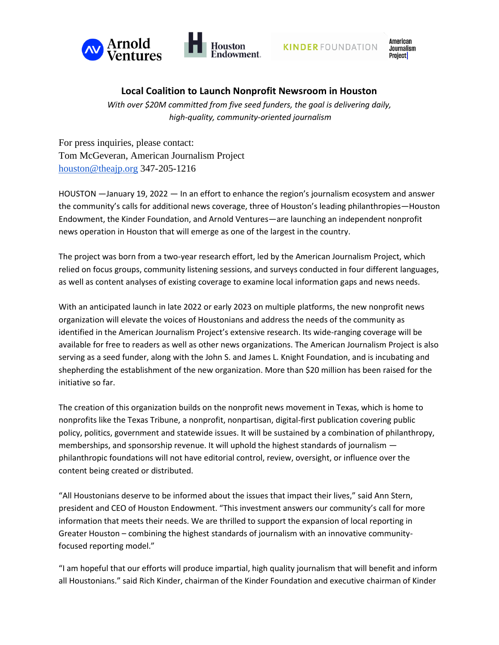



American **Journalism** Project

# **Local Coalition to Launch Nonprofit Newsroom in Houston**

*With over \$20M committed from five seed funders, the goal is delivering daily, high-quality, community-oriented journalism* 

For press inquiries, please contact: Tom McGeveran, American Journalism Project [houston@theajp.org](mailto:houston@theajp.org) 347-205-1216

HOUSTON —January 19, 2022 — In an effort to enhance the region's journalism ecosystem and answer the community's calls for additional news coverage, three of Houston's leading philanthropies—Houston Endowment, the Kinder Foundation, and Arnold Ventures—are launching an independent nonprofit news operation in Houston that will emerge as one of the largest in the country.

The project was born from a two-year research effort, led by the American Journalism Project, which relied on focus groups, community listening sessions, and surveys conducted in four different languages, as well as content analyses of existing coverage to examine local information gaps and news needs.

With an anticipated launch in late 2022 or early 2023 on multiple platforms, the new nonprofit news organization will elevate the voices of Houstonians and address the needs of the community as identified in the American Journalism Project's extensive research. Its wide-ranging coverage will be available for free to readers as well as other news organizations. The American Journalism Project is also serving as a seed funder, along with the John S. and James L. Knight Foundation, and is incubating and shepherding the establishment of the new organization. More than \$20 million has been raised for the initiative so far.

The creation of this organization builds on the nonprofit news movement in Texas, which is home to nonprofits like the Texas Tribune, a nonprofit, nonpartisan, digital-first publication covering public policy, politics, government and statewide issues. It will be sustained by a combination of philanthropy, memberships, and sponsorship revenue. It will uphold the highest standards of journalism philanthropic foundations will not have editorial control, review, oversight, or influence over the content being created or distributed.

"All Houstonians deserve to be informed about the issues that impact their lives," said Ann Stern, president and CEO of Houston Endowment. "This investment answers our community's call for more information that meets their needs. We are thrilled to support the expansion of local reporting in Greater Houston – combining the highest standards of journalism with an innovative communityfocused reporting model."

"I am hopeful that our efforts will produce impartial, high quality journalism that will benefit and inform all Houstonians." said Rich Kinder, chairman of the Kinder Foundation and executive chairman of Kinder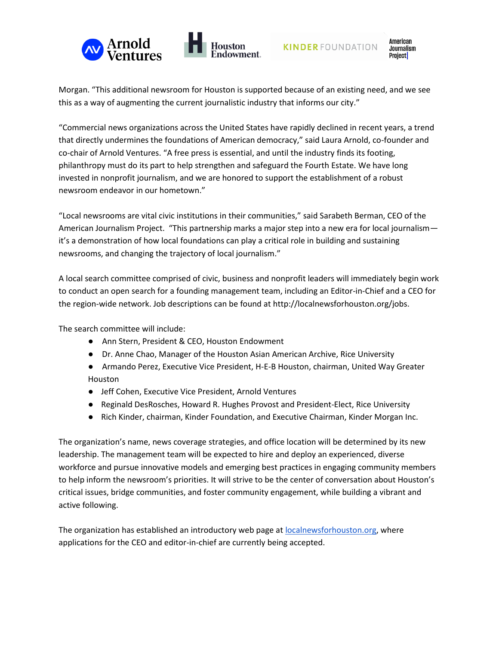



American **Journalism** Project

Morgan. "This additional newsroom for Houston is supported because of an existing need, and we see this as a way of augmenting the current journalistic industry that informs our city."

"Commercial news organizations across the United States have rapidly declined in recent years, a trend that directly undermines the foundations of American democracy," said Laura Arnold, co-founder and co-chair of Arnold Ventures. "A free press is essential, and until the industry finds its footing, philanthropy must do its part to help strengthen and safeguard the Fourth Estate. We have long invested in nonprofit journalism, and we are honored to support the establishment of a robust newsroom endeavor in our hometown."

"Local newsrooms are vital civic institutions in their communities," said Sarabeth Berman, CEO of the American Journalism Project. "This partnership marks a major step into a new era for local journalism it's a demonstration of how local foundations can play a critical role in building and sustaining newsrooms, and changing the trajectory of local journalism."

A local search committee comprised of civic, business and nonprofit leaders will immediately begin work to conduct an open search for a founding management team, including an Editor-in-Chief and a CEO for the region-wide network. Job descriptions can be found at http://localnewsforhouston.org/jobs.

The search committee will include:

- Ann Stern, President & CEO, Houston Endowment
- Dr. Anne Chao, Manager of the Houston Asian American Archive, Rice University
- Armando Perez, Executive Vice President, H-E-B Houston, chairman, United Way Greater Houston
- Jeff Cohen, Executive Vice President, Arnold Ventures
- Reginald DesRosches, Howard R. Hughes Provost and President-Elect, Rice University
- Rich Kinder, chairman, Kinder Foundation, and Executive Chairman, Kinder Morgan Inc.

The organization's name, news coverage strategies, and office location will be determined by its new leadership. The management team will be expected to hire and deploy an experienced, diverse workforce and pursue innovative models and emerging best practices in engaging community members to help inform the newsroom's priorities. It will strive to be the center of conversation about Houston's critical issues, bridge communities, and foster community engagement, while building a vibrant and active following.

The organization has established an introductory web page at [localnewsforhouston.org,](http://localnewsforhouston.org/) where applications for the CEO and editor-in-chief are currently being accepted.